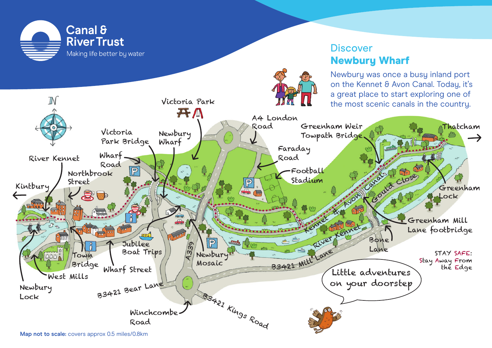

# **Discover** Newbury Wharf

Newbury was once a busy inland port on the Kennet & Avon Canal. Today, it's a great place to start exploring one of